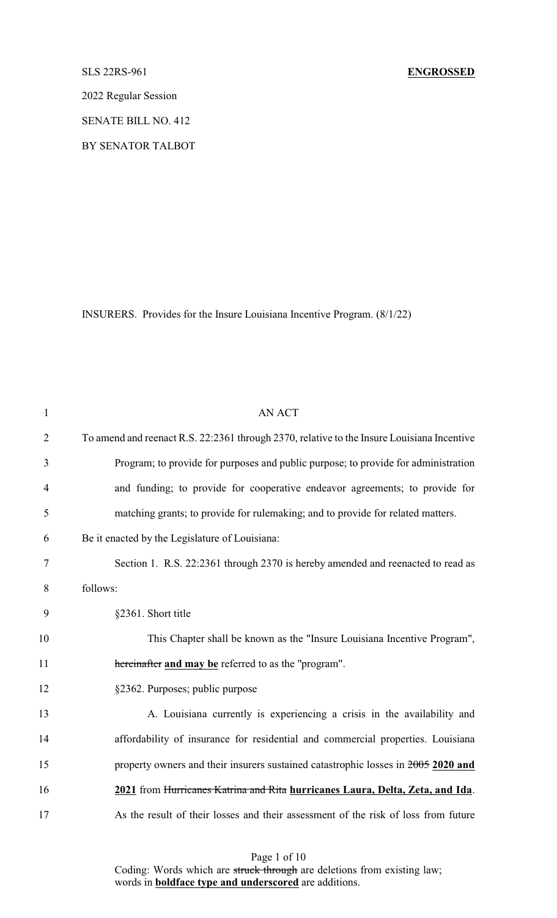2022 Regular Session

SENATE BILL NO. 412

BY SENATOR TALBOT

INSURERS. Provides for the Insure Louisiana Incentive Program. (8/1/22)

| $\mathbf{1}$   | <b>AN ACT</b>                                                                              |
|----------------|--------------------------------------------------------------------------------------------|
| $\overline{2}$ | To amend and reenact R.S. 22:2361 through 2370, relative to the Insure Louisiana Incentive |
| 3              | Program; to provide for purposes and public purpose; to provide for administration         |
| $\overline{4}$ | and funding; to provide for cooperative endeavor agreements; to provide for                |
| 5              | matching grants; to provide for rulemaking; and to provide for related matters.            |
| 6              | Be it enacted by the Legislature of Louisiana:                                             |
| 7              | Section 1. R.S. 22:2361 through 2370 is hereby amended and reenacted to read as            |
| 8              | follows:                                                                                   |
| 9              | §2361. Short title                                                                         |
| 10             | This Chapter shall be known as the "Insure Louisiana Incentive Program",                   |
| 11             | hereinafter and may be referred to as the "program".                                       |
| 12             | §2362. Purposes; public purpose                                                            |
| 13             | A. Louisiana currently is experiencing a crisis in the availability and                    |
| 14             | affordability of insurance for residential and commercial properties. Louisiana            |
| 15             | property owners and their insurers sustained catastrophic losses in 2005 2020 and          |
| 16             | 2021 from Hurricanes Katrina and Rita hurricanes Laura, Delta, Zeta, and Ida.              |
| 17             | As the result of their losses and their assessment of the risk of loss from future         |
|                |                                                                                            |

Page 1 of 10

Coding: Words which are struck through are deletions from existing law; words in **boldface type and underscored** are additions.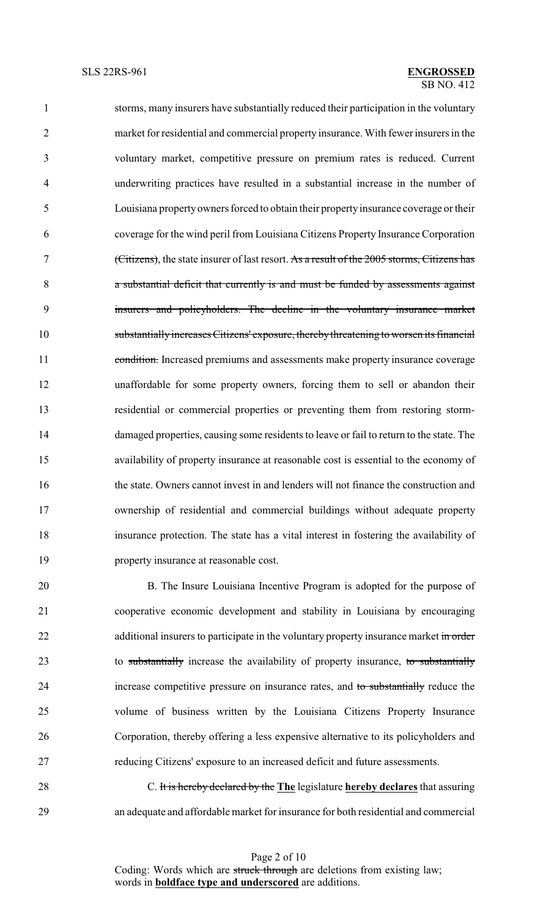storms, many insurers have substantially reduced their participation in the voluntary market for residential and commercial property insurance. With fewer insurers in the voluntary market, competitive pressure on premium rates is reduced. Current underwriting practices have resulted in a substantial increase in the number of Louisiana propertyowners forced to obtain their propertyinsurance coverage or their coverage for the wind peril from Louisiana Citizens Property Insurance Corporation (Citizens), the state insurer of last resort. As a result of the 2005 storms, Citizens has a substantial deficit that currently is and must be funded by assessments against insurers and policyholders. The decline in the voluntary insurance market substantially increases Citizens' exposure, therebythreatening to worsen its financial 11 condition. Increased premiums and assessments make property insurance coverage unaffordable for some property owners, forcing them to sell or abandon their residential or commercial properties or preventing them from restoring storm- damaged properties, causing some residents to leave or fail to return to the state. The availability of property insurance at reasonable cost is essential to the economy of the state. Owners cannot invest in and lenders will not finance the construction and ownership of residential and commercial buildings without adequate property insurance protection. The state has a vital interest in fostering the availability of property insurance at reasonable cost.

 B. The Insure Louisiana Incentive Program is adopted for the purpose of cooperative economic development and stability in Louisiana by encouraging 22 additional insurers to participate in the voluntary property insurance market in order 23 to substantially increase the availability of property insurance, to substantially increase competitive pressure on insurance rates, and to substantially reduce the volume of business written by the Louisiana Citizens Property Insurance Corporation, thereby offering a less expensive alternative to its policyholders and reducing Citizens' exposure to an increased deficit and future assessments.

 C. It is hereby declared by the **The** legislature **hereby declares** that assuring an adequate and affordable market for insurance for both residential and commercial

> Page 2 of 10 Coding: Words which are struck through are deletions from existing law; words in **boldface type and underscored** are additions.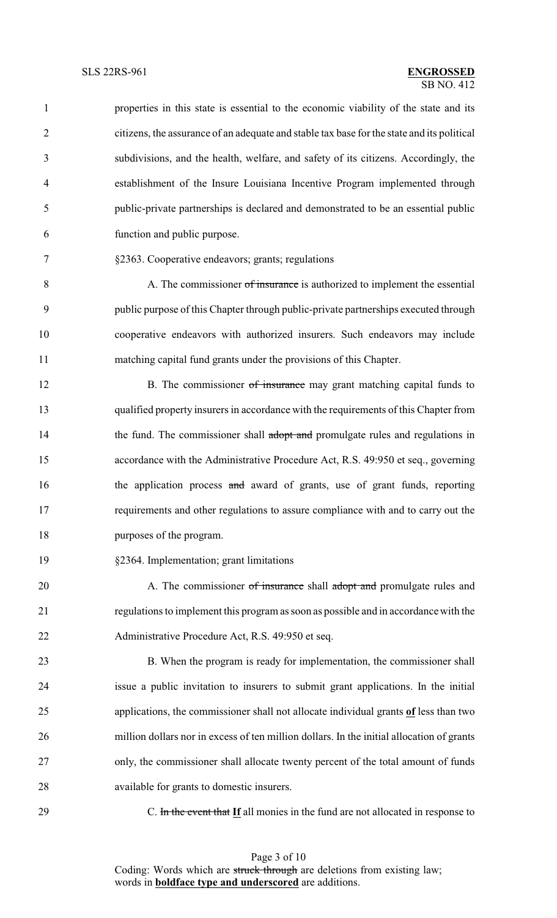| $\mathbf{1}$   | properties in this state is essential to the economic viability of the state and its       |
|----------------|--------------------------------------------------------------------------------------------|
| $\overline{2}$ | citizens, the assurance of an adequate and stable tax base for the state and its political |
| 3              | subdivisions, and the health, welfare, and safety of its citizens. Accordingly, the        |
| $\overline{4}$ | establishment of the Insure Louisiana Incentive Program implemented through                |
| 5              | public-private partnerships is declared and demonstrated to be an essential public         |
| 6              | function and public purpose.                                                               |
| 7              | §2363. Cooperative endeavors; grants; regulations                                          |
| 8              | A. The commissioner of insurance is authorized to implement the essential                  |
| 9              | public purpose of this Chapter through public-private partnerships executed through        |
| 10             | cooperative endeavors with authorized insurers. Such endeavors may include                 |
| 11             | matching capital fund grants under the provisions of this Chapter.                         |
| 12             | B. The commissioner of insurance may grant matching capital funds to                       |
| 13             | qualified property insurers in accordance with the requirements of this Chapter from       |
| 14             | the fund. The commissioner shall adopt and promulgate rules and regulations in             |
| 15             | accordance with the Administrative Procedure Act, R.S. 49:950 et seq., governing           |
| 16             | the application process and award of grants, use of grant funds, reporting                 |
| 17             | requirements and other regulations to assure compliance with and to carry out the          |
| 18             | purposes of the program.                                                                   |
| 19             | §2364. Implementation; grant limitations                                                   |
| 20             | A. The commissioner of insurance shall adopt and promulgate rules and                      |
| 21             | regulations to implement this program as soon as possible and in accordance with the       |
| 22             | Administrative Procedure Act, R.S. 49:950 et seq.                                          |
| 23             | B. When the program is ready for implementation, the commissioner shall                    |
| 24             | issue a public invitation to insurers to submit grant applications. In the initial         |
| 25             | applications, the commissioner shall not allocate individual grants of less than two       |
| 26             | million dollars nor in excess of ten million dollars. In the initial allocation of grants  |
| 27             | only, the commissioner shall allocate twenty percent of the total amount of funds          |
| 28             | available for grants to domestic insurers.                                                 |
| 29             | C. In the event that If all monies in the fund are not allocated in response to            |

Page 3 of 10 Coding: Words which are struck through are deletions from existing law; words in **boldface type and underscored** are additions.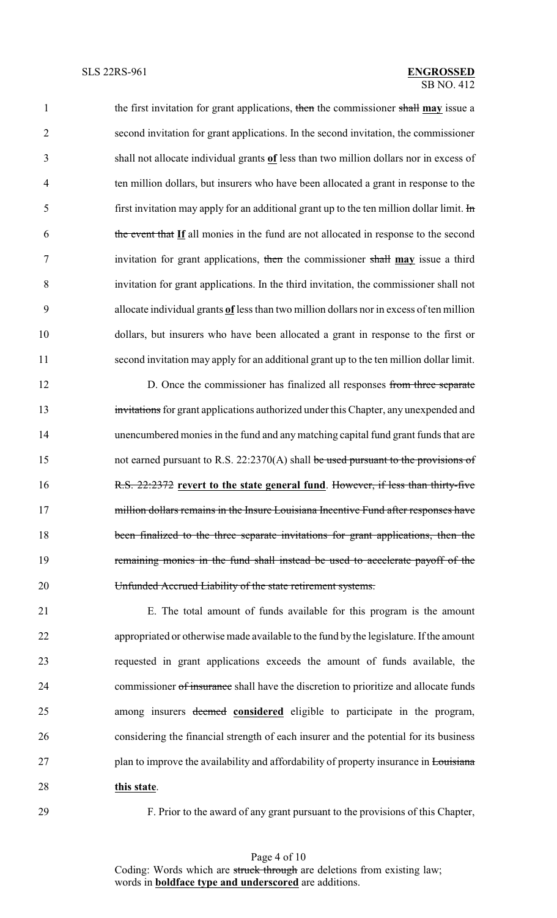the first invitation for grant applications, then the commissioner shall **may** issue a second invitation for grant applications. In the second invitation, the commissioner shall not allocate individual grants **of** less than two million dollars nor in excess of ten million dollars, but insurers who have been allocated a grant in response to the 5 first invitation may apply for an additional grant up to the ten million dollar limit.  $\text{Im}$  the event that **If** all monies in the fund are not allocated in response to the second invitation for grant applications, then the commissioner shall **may** issue a third invitation for grant applications. In the third invitation, the commissioner shall not allocate individual grants **of** less than two million dollars nor in excess of ten million dollars, but insurers who have been allocated a grant in response to the first or second invitation may apply for an additional grant up to the ten million dollar limit.

12 D. Once the commissioner has finalized all responses from three separate 13 invitations for grant applications authorized under this Chapter, any unexpended and unencumbered monies in the fund and anymatching capital fund grant funds that are 15 not earned pursuant to R.S. 22:2370(A) shall be used pursuant to the provisions of R.S. 22:2372 **revert to the state general fund**. However, if less than thirty-five 17 million dollars remains in the Insure Louisiana Incentive Fund after responses have been finalized to the three separate invitations for grant applications, then the remaining monies in the fund shall instead be used to accelerate payoff of the Unfunded Accrued Liability of the state retirement systems.

 E. The total amount of funds available for this program is the amount appropriated or otherwise made available to the fund by the legislature. If the amount requested in grant applications exceeds the amount of funds available, the 24 commissioner of insurance shall have the discretion to prioritize and allocate funds among insurers deemed **considered** eligible to participate in the program, considering the financial strength of each insurer and the potential for its business 27 plan to improve the availability and affordability of property insurance in Louisiana **this state**.

F. Prior to the award of any grant pursuant to the provisions of this Chapter,

Page 4 of 10 Coding: Words which are struck through are deletions from existing law; words in **boldface type and underscored** are additions.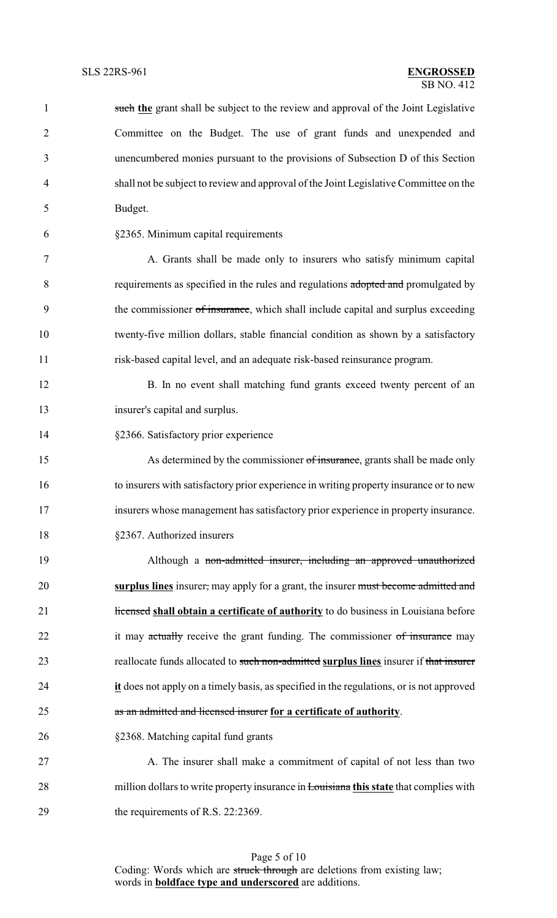| $\mathbf{1}$   | such the grant shall be subject to the review and approval of the Joint Legislative           |
|----------------|-----------------------------------------------------------------------------------------------|
| $\overline{2}$ | Committee on the Budget. The use of grant funds and unexpended and                            |
| 3              | unencumbered monies pursuant to the provisions of Subsection D of this Section                |
| 4              | shall not be subject to review and approval of the Joint Legislative Committee on the         |
| 5              | Budget.                                                                                       |
| 6              | §2365. Minimum capital requirements                                                           |
| 7              | A. Grants shall be made only to insurers who satisfy minimum capital                          |
| 8              | requirements as specified in the rules and regulations adopted and promulgated by             |
| 9              | the commissioner of insurance, which shall include capital and surplus exceeding              |
| 10             | twenty-five million dollars, stable financial condition as shown by a satisfactory            |
| 11             | risk-based capital level, and an adequate risk-based reinsurance program.                     |
| 12             | B. In no event shall matching fund grants exceed twenty percent of an                         |
| 13             | insurer's capital and surplus.                                                                |
| 14             | §2366. Satisfactory prior experience                                                          |
| 15             | As determined by the commissioner of insurance, grants shall be made only                     |
| 16             | to insurers with satisfactory prior experience in writing property insurance or to new        |
| 17             | insurers whose management has satisfactory prior experience in property insurance.            |
| 18             | §2367. Authorized insurers                                                                    |
| 19             | Although a non-admitted insurer, including an approved unauthorized                           |
| 20             | surplus lines insurer, may apply for a grant, the insurer must become admitted and            |
| 21             | Hicensed shall obtain a certificate of authority to do business in Louisiana before           |
| 22             | it may actually receive the grant funding. The commissioner of insurance may                  |
| 23             | reallocate funds allocated to such non-admitted surplus lines insurer if that insurer         |
| 24             | it does not apply on a timely basis, as specified in the regulations, or is not approved      |
| 25             | as an admitted and licensed insurer for a certificate of authority.                           |
| 26             | §2368. Matching capital fund grants                                                           |
| 27             | A. The insurer shall make a commitment of capital of not less than two                        |
| 28             | million dollars to write property insurance in <b>Louisiana this state</b> that complies with |

29 the requirements of R.S. 22:2369.

Page 5 of 10 Coding: Words which are struck through are deletions from existing law; words in **boldface type and underscored** are additions.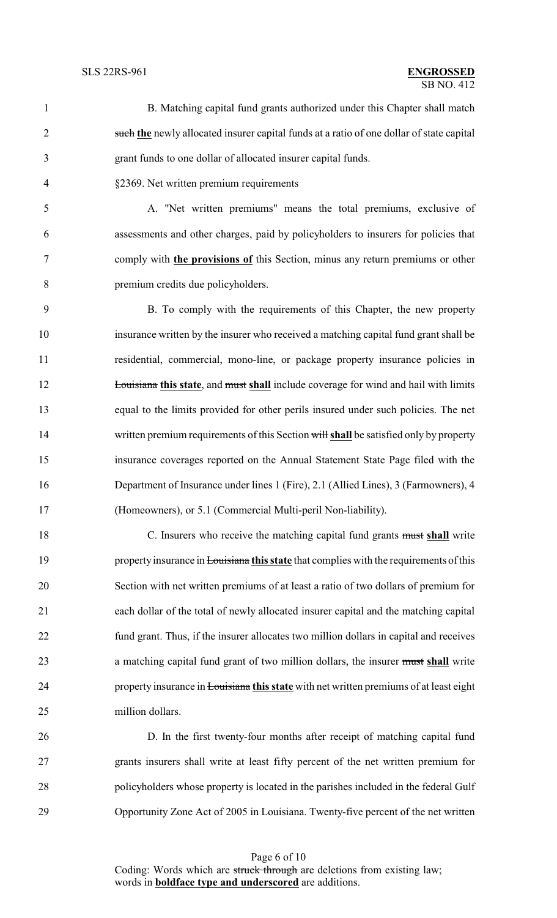### $\overline{SB}$  NO. 412 SLS 22RS-961 **ENGROSSED**

- B. Matching capital fund grants authorized under this Chapter shall match such **the** newly allocated insurer capital funds at a ratio of one dollar of state capital grant funds to one dollar of allocated insurer capital funds.
- §2369. Net written premium requirements

 A. "Net written premiums" means the total premiums, exclusive of assessments and other charges, paid by policyholders to insurers for policies that comply with **the provisions of** this Section, minus any return premiums or other premium credits due policyholders.

 B. To comply with the requirements of this Chapter, the new property insurance written by the insurer who received a matching capital fund grant shall be residential, commercial, mono-line, or package property insurance policies in **Louisiana this state**, and must shall include coverage for wind and hail with limits equal to the limits provided for other perils insured under such policies. The net written premium requirements of this Section will **shall** be satisfied only by property insurance coverages reported on the Annual Statement State Page filed with the Department of Insurance under lines 1 (Fire), 2.1 (Allied Lines), 3 (Farmowners), 4 (Homeowners), or 5.1 (Commercial Multi-peril Non-liability).

 C. Insurers who receive the matching capital fund grants must **shall** write 19 property insurance in Louisiana this state that complies with the requirements of this Section with net written premiums of at least a ratio of two dollars of premium for each dollar of the total of newly allocated insurer capital and the matching capital fund grant. Thus, if the insurer allocates two million dollars in capital and receives a matching capital fund grant of two million dollars, the insurer must **shall** write property insurance in Louisiana **this state** with net written premiums of at least eight million dollars.

 D. In the first twenty-four months after receipt of matching capital fund grants insurers shall write at least fifty percent of the net written premium for policyholders whose property is located in the parishes included in the federal Gulf Opportunity Zone Act of 2005 in Louisiana. Twenty-five percent of the net written

> Page 6 of 10 Coding: Words which are struck through are deletions from existing law; words in **boldface type and underscored** are additions.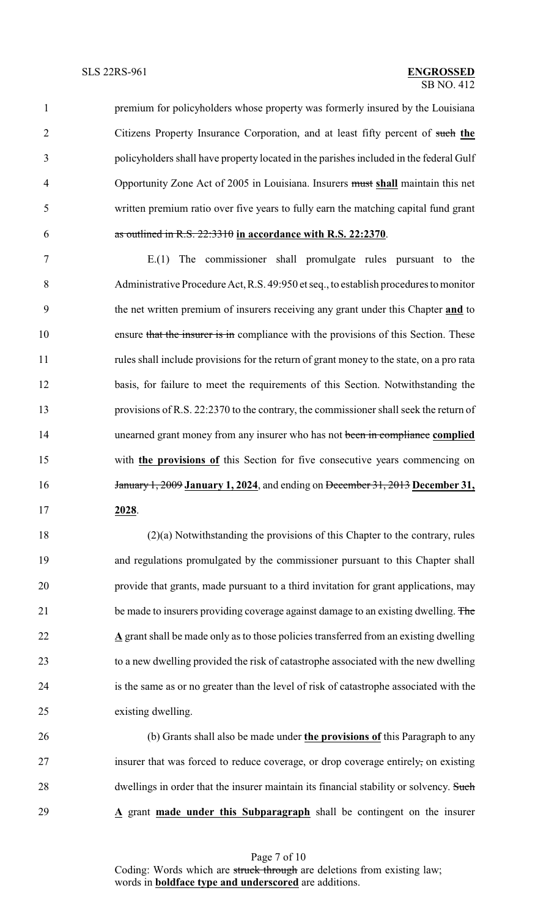premium for policyholders whose property was formerly insured by the Louisiana Citizens Property Insurance Corporation, and at least fifty percent of such **the** policyholders shall have property located in the parishes included in the federal Gulf Opportunity Zone Act of 2005 in Louisiana. Insurers must **shall** maintain this net written premium ratio over five years to fully earn the matching capital fund grant as outlined in R.S. 22:3310 **in accordance with R.S. 22:2370**.

 E.(1) The commissioner shall promulgate rules pursuant to the Administrative Procedure Act,R.S. 49:950 et seq., to establish procedures to monitor the net written premium of insurers receiving any grant under this Chapter **and** to 10 ensure that the insurer is in compliance with the provisions of this Section. These rules shall include provisions for the return of grant money to the state, on a pro rata basis, for failure to meet the requirements of this Section. Notwithstanding the provisions of R.S. 22:2370 to the contrary, the commissioner shall seek the return of unearned grant money from any insurer who has not been in compliance **complied** with **the provisions of** this Section for five consecutive years commencing on January 1, 2009 **January 1, 2024**, and ending on December 31, 2013 **December 31, 2028**.

 (2)(a) Notwithstanding the provisions of this Chapter to the contrary, rules and regulations promulgated by the commissioner pursuant to this Chapter shall provide that grants, made pursuant to a third invitation for grant applications, may 21 be made to insurers providing coverage against damage to an existing dwelling. The **A** grant shall be made only as to those policies transferred from an existing dwelling to a new dwelling provided the risk of catastrophe associated with the new dwelling is the same as or no greater than the level of risk of catastrophe associated with the existing dwelling.

 (b) Grants shall also be made under **the provisions of** this Paragraph to any insurer that was forced to reduce coverage, or drop coverage entirely, on existing 28 dwellings in order that the insurer maintain its financial stability or solvency. Such **A** grant **made under this Subparagraph** shall be contingent on the insurer

> Page 7 of 10 Coding: Words which are struck through are deletions from existing law; words in **boldface type and underscored** are additions.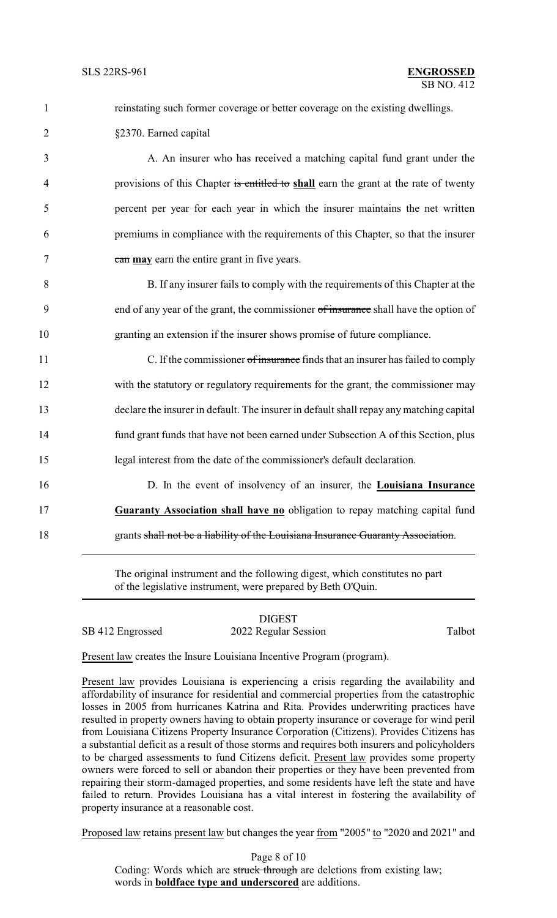| $\mathbf{1}$   | reinstating such former coverage or better coverage on the existing dwellings.          |
|----------------|-----------------------------------------------------------------------------------------|
| $\overline{2}$ | §2370. Earned capital                                                                   |
| 3              | A. An insurer who has received a matching capital fund grant under the                  |
| 4              | provisions of this Chapter is entitled to shall earn the grant at the rate of twenty    |
| 5              | percent per year for each year in which the insurer maintains the net written           |
| 6              | premiums in compliance with the requirements of this Chapter, so that the insurer       |
| 7              | can may earn the entire grant in five years.                                            |
| 8              | B. If any insurer fails to comply with the requirements of this Chapter at the          |
| 9              | end of any year of the grant, the commissioner of insurance shall have the option of    |
| 10             | granting an extension if the insurer shows promise of future compliance.                |
| 11             | C. If the commissioner of insurance finds that an insurer has failed to comply          |
| 12             | with the statutory or regulatory requirements for the grant, the commissioner may       |
| 13             | declare the insurer in default. The insurer in default shall repay any matching capital |
| 14             | fund grant funds that have not been earned under Subsection A of this Section, plus     |
| 15             | legal interest from the date of the commissioner's default declaration.                 |
| 16             | D. In the event of insolvency of an insurer, the Louisiana Insurance                    |
| 17             | Guaranty Association shall have no obligation to repay matching capital fund            |
| 18             | grants shall not be a liability of the Louisiana Insurance Guaranty Association.        |
|                | $\frac{1}{2}$ . The contract of $\frac{1}{2}$                                           |

The original instrument and the following digest, which constitutes no part of the legislative instrument, were prepared by Beth O'Quin.

# DIGEST

SB 412 Engrossed 2022 Regular Session Talbot

Present law creates the Insure Louisiana Incentive Program (program).

Present law provides Louisiana is experiencing a crisis regarding the availability and affordability of insurance for residential and commercial properties from the catastrophic losses in 2005 from hurricanes Katrina and Rita. Provides underwriting practices have resulted in property owners having to obtain property insurance or coverage for wind peril from Louisiana Citizens Property Insurance Corporation (Citizens). Provides Citizens has a substantial deficit as a result of those storms and requires both insurers and policyholders to be charged assessments to fund Citizens deficit. Present law provides some property owners were forced to sell or abandon their properties or they have been prevented from repairing their storm-damaged properties, and some residents have left the state and have failed to return. Provides Louisiana has a vital interest in fostering the availability of property insurance at a reasonable cost.

Proposed law retains present law but changes the year from "2005" to "2020 and 2021" and

Page 8 of 10 Coding: Words which are struck through are deletions from existing law; words in **boldface type and underscored** are additions.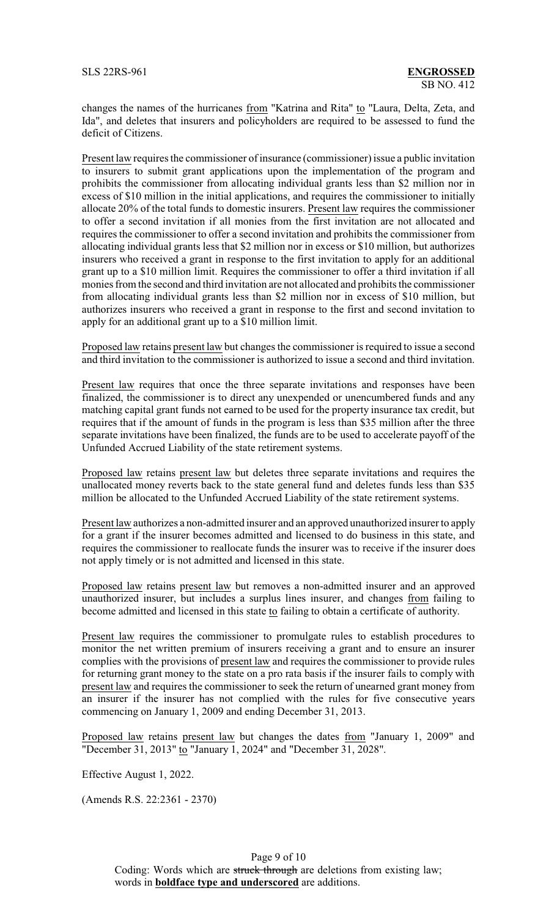changes the names of the hurricanes from "Katrina and Rita" to "Laura, Delta, Zeta, and Ida", and deletes that insurers and policyholders are required to be assessed to fund the deficit of Citizens.

Present law requires the commissioner of insurance (commissioner) issue a public invitation to insurers to submit grant applications upon the implementation of the program and prohibits the commissioner from allocating individual grants less than \$2 million nor in excess of \$10 million in the initial applications, and requires the commissioner to initially allocate 20% of the total funds to domestic insurers. Present law requires the commissioner to offer a second invitation if all monies from the first invitation are not allocated and requires the commissioner to offer a second invitation and prohibits the commissioner from allocating individual grants less that \$2 million nor in excess or \$10 million, but authorizes insurers who received a grant in response to the first invitation to apply for an additional grant up to a \$10 million limit. Requires the commissioner to offer a third invitation if all monies from the second and third invitation are not allocated and prohibits the commissioner from allocating individual grants less than \$2 million nor in excess of \$10 million, but authorizes insurers who received a grant in response to the first and second invitation to apply for an additional grant up to a \$10 million limit.

Proposed law retains present law but changes the commissioner is required to issue a second and third invitation to the commissioner is authorized to issue a second and third invitation.

Present law requires that once the three separate invitations and responses have been finalized, the commissioner is to direct any unexpended or unencumbered funds and any matching capital grant funds not earned to be used for the property insurance tax credit, but requires that if the amount of funds in the program is less than \$35 million after the three separate invitations have been finalized, the funds are to be used to accelerate payoff of the Unfunded Accrued Liability of the state retirement systems.

Proposed law retains present law but deletes three separate invitations and requires the unallocated money reverts back to the state general fund and deletes funds less than \$35 million be allocated to the Unfunded Accrued Liability of the state retirement systems.

Present law authorizes a non-admitted insurer and an approved unauthorized insurer to apply for a grant if the insurer becomes admitted and licensed to do business in this state, and requires the commissioner to reallocate funds the insurer was to receive if the insurer does not apply timely or is not admitted and licensed in this state.

Proposed law retains present law but removes a non-admitted insurer and an approved unauthorized insurer, but includes a surplus lines insurer, and changes from failing to become admitted and licensed in this state to failing to obtain a certificate of authority.

Present law requires the commissioner to promulgate rules to establish procedures to monitor the net written premium of insurers receiving a grant and to ensure an insurer complies with the provisions of present law and requires the commissioner to provide rules for returning grant money to the state on a pro rata basis if the insurer fails to comply with present law and requires the commissioner to seek the return of unearned grant money from an insurer if the insurer has not complied with the rules for five consecutive years commencing on January 1, 2009 and ending December 31, 2013.

Proposed law retains present law but changes the dates from "January 1, 2009" and "December 31, 2013" to "January 1, 2024" and "December 31, 2028".

Effective August 1, 2022.

(Amends R.S. 22:2361 - 2370)